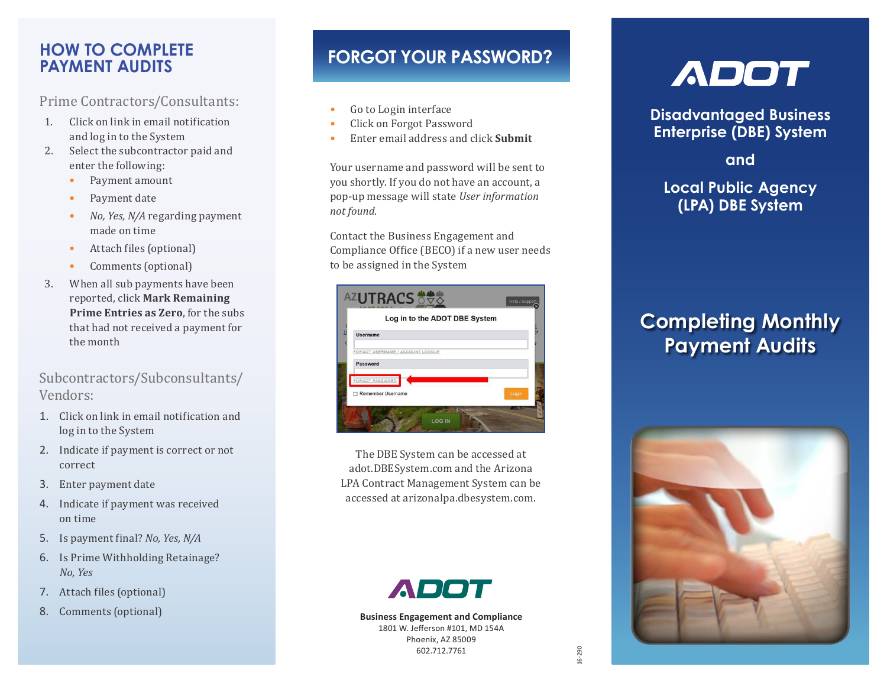#### **HOW TO COMPLETE PAYMENT AUDITS**

Prime Contractors/Consultants:

- 1. Click on link in email notification and log in to the System
- 2. Select the subcontractor paid and enter the following:
	- Payment amount
	- Payment date
	- *No, Yes, N/A* regarding payment made on time
	- Attach files (optional)
	- Comments (optional)
- 3. When all sub payments have been reported, click **Mark Remaining Prime Entries as Zero**, for the subs that had not received a payment for the month

#### Subcontractors/Subconsultants/ Vendors:

- 1. Click on link in email notification and log in to the System
- 2. Indicate if payment is correct or not correct
- 3. Enter payment date
- 4. Indicate if payment was received on time
- 5. Is payment final? *No, Yes, N/A*
- 6. Is Prime Withholding Retainage? *No, Yes*
- 7. Attach files (optional)
- 8. Comments (optional)

### **FORGOT YOUR PASSWORD?**

- Go to Login interface
- Click on Forgot Password
- Enter email address and click **Submit**

Your username and password will be sent to you shortly. If you do not have an account, a pop-up message will state *User information not found*.

Contact the Business Engagement and Compliance Office (BECO) if a new user needs to be assigned in the System



The DBE System can be accessed at adot.DBESystem.com and the Arizona LPA Contract Management System can be accessed at arizonalpa.dbesystem.com.



**Business Engagement and Compliance** 1801 W. Jefferson #101, MD 154A Phoenix, AZ 85009 602.712.7761

# **ADOT**

**Disadvantaged Business Enterprise (DBE) System** 

**and**

**Local Public Agency (LPA) DBE System**

## **Completing Monthly Payment Audits**